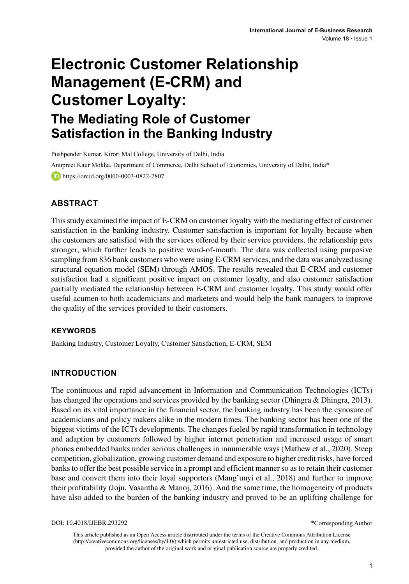# **Electronic Customer Relationship Management (E-CRM) and Customer Loyalty: The Mediating Role of Customer Satisfaction in the Banking Industry**

Pushpender Kumar, Kirori Mal College, University of Delhi, India Anupreet Kaur Mokha, Department of Commerce, Delhi School of Economics, University of Delhi, India\* https://orcid.org/0000-0003-0822-2807

#### **ABSTRACT**

This study examined the impact of E-CRM on customer loyalty with the mediating effect of customer satisfaction in the banking industry. Customer satisfaction is important for loyalty because when the customers are satisfied with the services offered by their service providers, the relationship gets stronger, which further leads to positive word-of-mouth. The data was collected using purposive sampling from 836 bank customers who were using E-CRM services, and the data was analyzed using structural equation model (SEM) through AMOS. The results revealed that E-CRM and customer satisfaction had a significant positive impact on customer loyalty, and also customer satisfaction partially mediated the relationship between E-CRM and customer loyalty. This study would offer useful acumen to both academicians and marketers and would help the bank managers to improve the quality of the services provided to their customers.

#### **Keywords**

Banking Industry, Customer Loyalty, Customer Satisfaction, E-CRM, SEM

#### **INTRODUCTION**

The continuous and rapid advancement in Information and Communication Technologies (ICTs) has changed the operations and services provided by the banking sector (Dhingra & Dhingra, 2013). Based on its vital importance in the financial sector, the banking industry has been the cynosure of academicians and policy makers alike in the modern times. The banking sector has been one of the biggest victims of the ICTs developments. The changes fueled by rapid transformation in technology and adaption by customers followed by higher internet penetration and increased usage of smart phones embedded banks under serious challenges in innumerable ways (Mathew et al., 2020). Steep competition, globalization, growing customer demand and exposure to higher credit risks, have forced banks to offer the best possible service in a prompt and efficient manner so as to retain their customer base and convert them into their loyal supporters (Mang'unyi et al., 2018) and further to improve their profitability (Joju, Vasantha & Manoj, 2016). And the same time, the homogeneity of products have also added to the burden of the banking industry and proved to be an uplifting challenge for

DOI: 10.4018/IJEBR.293292

\*Corresponding Author

This article published as an Open Access article distributed under the terms of the Creative Commons Attribution License (http://creativecommons.org/licenses/by/4.0/) which permits unrestricted use, distribution, and production in any medium, provided the author of the original work and original publication source are properly credited.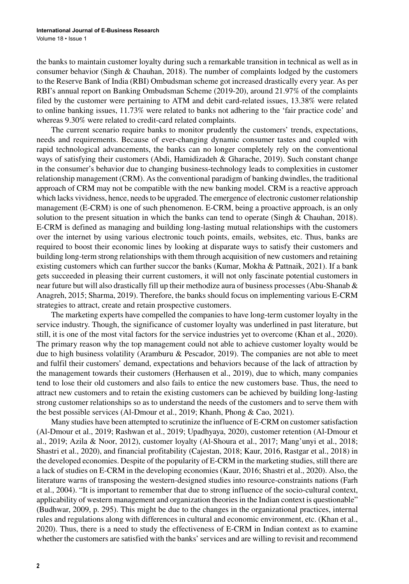the banks to maintain customer loyalty during such a remarkable transition in technical as well as in consumer behavior (Singh & Chauhan, 2018). The number of complaints lodged by the customers to the Reserve Bank of India (RBI) Ombudsman scheme got increased drastically every year. As per RBI's annual report on Banking Ombudsman Scheme (2019-20), around 21.97% of the complaints filed by the customer were pertaining to ATM and debit card-related issues, 13.38% were related to online banking issues, 11.73% were related to banks not adhering to the 'fair practice code' and whereas 9.30% were related to credit-card related complaints.

The current scenario require banks to monitor prudently the customers' trends, expectations, needs and requirements. Because of ever-changing dynamic consumer tastes and coupled with rapid technological advancements, the banks can no longer completely rely on the conventional ways of satisfying their customers (Abdi, Hamidizadeh & Gharache, 2019). Such constant change in the consumer's behavior due to changing business-technology leads to complexities in customer relationship management (CRM). As the conventional paradigm of banking dwindles, the traditional approach of CRM may not be compatible with the new banking model. CRM is a reactive approach which lacks vividness, hence, needs to be upgraded. The emergence of electronic customer relationship management (E-CRM) is one of such phenomenon. E-CRM, being a proactive approach, is an only solution to the present situation in which the banks can tend to operate (Singh & Chauhan, 2018). E-CRM is defined as managing and building long-lasting mutual relationships with the customers over the internet by using various electronic touch points, emails, websites, etc. Thus, banks are required to boost their economic lines by looking at disparate ways to satisfy their customers and building long-term strong relationships with them through acquisition of new customers and retaining existing customers which can further succor the banks (Kumar, Mokha & Pattnaik, 2021). If a bank gets succeeded in pleasing their current customers, it will not only fascinate potential customers in near future but will also drastically fill up their methodize aura of business processes (Abu-Shanab & Anagreh, 2015; Sharma, 2019). Therefore, the banks should focus on implementing various E-CRM strategies to attract, create and retain prospective customers.

The marketing experts have compelled the companies to have long-term customer loyalty in the service industry. Though, the significance of customer loyalty was underlined in past literature, but still, it is one of the most vital factors for the service industries yet to overcome (Khan et al., 2020). The primary reason why the top management could not able to achieve customer loyalty would be due to high business volatility (Aramburu & Pescador, 2019). The companies are not able to meet and fulfil their customers' demand, expectations and behaviors because of the lack of attraction by the management towards their customers (Herhausen et al., 2019), due to which, many companies tend to lose their old customers and also fails to entice the new customers base. Thus, the need to attract new customers and to retain the existing customers can be achieved by building long-lasting strong customer relationships so as to understand the needs of the customers and to serve them with the best possible services (Al-Dmour et al., 2019; Khanh, Phong & Cao, 2021).

Many studies have been attempted to scrutinize the influence of E-CRM on customer satisfaction (Al-Dmour et al., 2019; Rashwan et al., 2019; Upadhyaya, 2020), customer retention (Al-Dmour et al., 2019; Azila & Noor, 2012), customer loyalty (Al-Shoura et al., 2017; Mang'unyi et al., 2018; Shastri et al., 2020), and financial profitability (Cajestan, 2018; Kaur, 2016, Rastgar et al., 2018) in the developed economies. Despite of the popularity of E-CRM in the marketing studies, still there are a lack of studies on E-CRM in the developing economies (Kaur, 2016; Shastri et al., 2020). Also, the literature warns of transposing the western-designed studies into resource-constraints nations (Farh et al., 2004). "It is important to remember that due to strong influence of the socio-cultural context, applicability of western management and organization theories in the Indian context is questionable" (Budhwar, 2009, p. 295). This might be due to the changes in the organizational practices, internal rules and regulations along with differences in cultural and economic environment, etc. (Khan et al., 2020). Thus, there is a need to study the effectiveness of E-CRM in Indian context as to examine whether the customers are satisfied with the banks' services and are willing to revisit and recommend